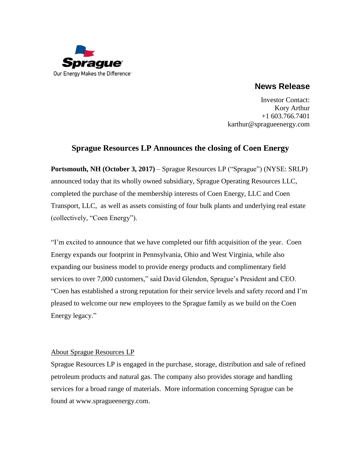

**News Release**

Investor Contact: Kory Arthur +1 603.766.7401 karthur@spragueenergy.com

## **Sprague Resources LP Announces the closing of Coen Energy**

**Portsmouth, NH (October 3, 2017)** – Sprague Resources LP ("Sprague") (NYSE: SRLP) announced today that its wholly owned subsidiary, Sprague Operating Resources LLC, completed the purchase of the membership interests of Coen Energy, LLC and Coen Transport, LLC, as well as assets consisting of four bulk plants and underlying real estate (collectively, "Coen Energy").

"I'm excited to announce that we have completed our fifth acquisition of the year. Coen Energy expands our footprint in Pennsylvania, Ohio and West Virginia, while also expanding our business model to provide energy products and complimentary field services to over 7,000 customers," said David Glendon, Sprague's President and CEO. "Coen has established a strong reputation for their service levels and safety record and I'm pleased to welcome our new employees to the Sprague family as we build on the Coen Energy legacy."

## About Sprague Resources LP

Sprague Resources LP is engaged in the purchase, storage, distribution and sale of refined petroleum products and natural gas. The company also provides storage and handling services for a broad range of materials. More information concerning Sprague can be found at [www.spragueenergy.com.](http://www.spragueenergy.com/)